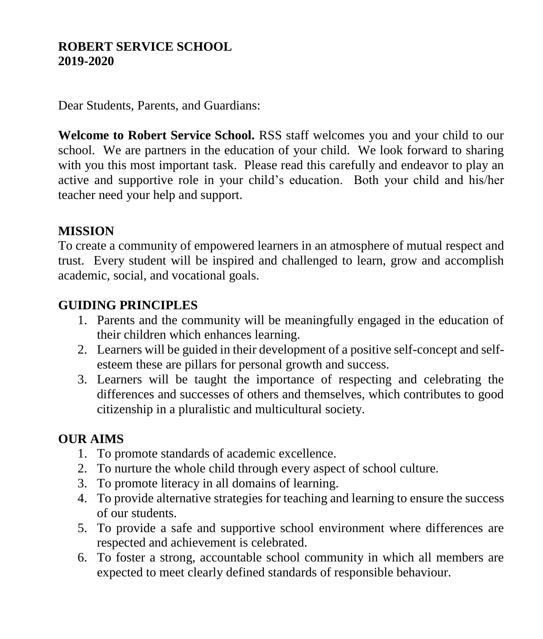#### **ROBERT SERVICE SCHOOL 2019-2020**

Dear Students, Parents, and Guardians:

**Welcome to Robert Service School.** RSS staff welcomes you and your child to our school. We are partners in the education of your child. We look forward to sharing with you this most important task. Please read this carefully and endeavor to play an active and supportive role in your child's education. Both your child and his/her teacher need your help and support.

#### **MISSION**

To create a community of empowered learners in an atmosphere of mutual respect and trust. Every student will be inspired and challenged to learn, grow and accomplish academic, social, and vocational goals.

#### **GUIDING PRINCIPLES**

- 1. Parents and the community will be meaningfully engaged in the education of their children which enhances learning.
- 2. Learners will be guided in their development of a positive self-concept and selfesteem these are pillars for personal growth and success.
- 3. Learners will be taught the importance of respecting and celebrating the differences and successes of others and themselves, which contributes to good citizenship in a pluralistic and multicultural society.

#### **OUR AIMS**

- 1. To promote standards of academic excellence.
- 2. To nurture the whole child through every aspect of school culture.
- 3. To promote literacy in all domains of learning.
- 4. To provide alternative strategies for teaching and learning to ensure the success of our students.
- 5. To provide a safe and supportive school environment where differences are respected and achievement is celebrated.
- 6. To foster a strong, accountable school community in which all members are expected to meet clearly defined standards of responsible behaviour.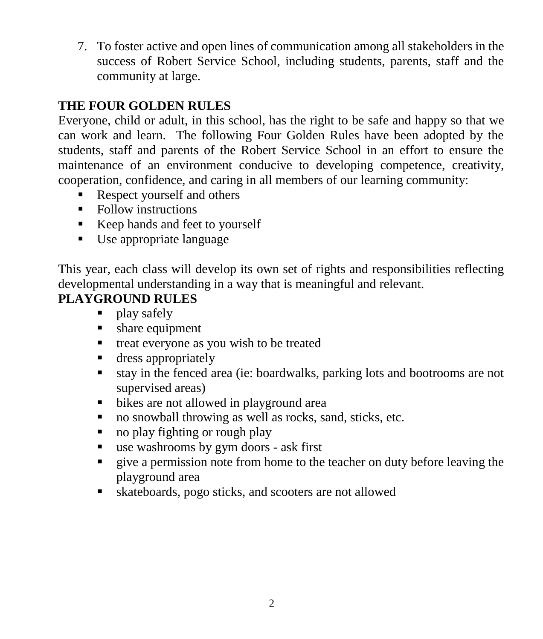7. To foster active and open lines of communication among all stakeholders in the success of Robert Service School, including students, parents, staff and the community at large.

# **THE FOUR GOLDEN RULES**

Everyone, child or adult, in this school, has the right to be safe and happy so that we can work and learn. The following Four Golden Rules have been adopted by the students, staff and parents of the Robert Service School in an effort to ensure the maintenance of an environment conducive to developing competence, creativity, cooperation, confidence, and caring in all members of our learning community:

- Respect yourself and others
- Follow instructions
- Keep hands and feet to yourself
- Use appropriate language

This year, each class will develop its own set of rights and responsibilities reflecting developmental understanding in a way that is meaningful and relevant.

# **PLAYGROUND RULES**

- play safely
- **share equipment**
- treat everyone as you wish to be treated
- **dress appropriately**
- stay in the fenced area (ie: boardwalks, parking lots and bootrooms are not supervised areas)
- bikes are not allowed in playground area
- no snowball throwing as well as rocks, sand, sticks, etc.
- no play fighting or rough play
- use washrooms by gym doors ask first
- give a permission note from home to the teacher on duty before leaving the playground area
- skateboards, pogo sticks, and scooters are not allowed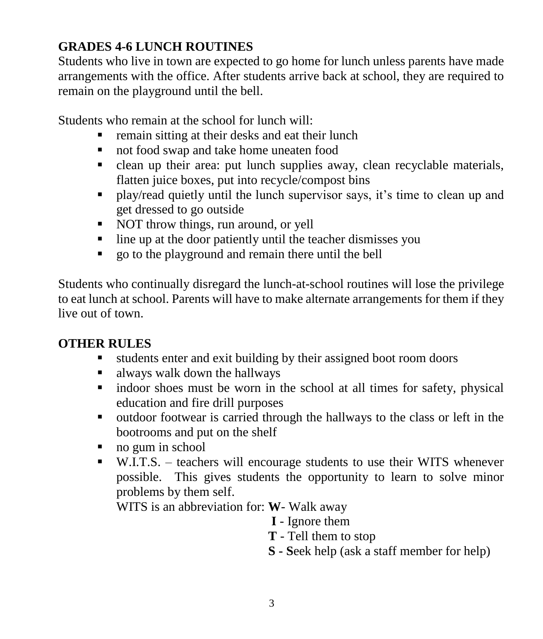# **GRADES 4-6 LUNCH ROUTINES**

Students who live in town are expected to go home for lunch unless parents have made arrangements with the office. After students arrive back at school, they are required to remain on the playground until the bell.

Students who remain at the school for lunch will:

- remain sitting at their desks and eat their lunch
- not food swap and take home uneaten food
- clean up their area: put lunch supplies away, clean recyclable materials, flatten juice boxes, put into recycle/compost bins
- play/read quietly until the lunch supervisor says, it's time to clean up and get dressed to go outside
- NOT throw things, run around, or yell
- $\blacksquare$  line up at the door patiently until the teacher dismisses you
- go to the playground and remain there until the bell

Students who continually disregard the lunch-at-school routines will lose the privilege to eat lunch at school. Parents will have to make alternate arrangements for them if they live out of town.

## **OTHER RULES**

- students enter and exit building by their assigned boot room doors
- always walk down the hallways
- indoor shoes must be worn in the school at all times for safety, physical education and fire drill purposes
- outdoor footwear is carried through the hallways to the class or left in the bootrooms and put on the shelf
- no gum in school
- W.I.T.S. teachers will encourage students to use their WITS whenever possible. This gives students the opportunity to learn to solve minor problems by them self.

WITS is an abbreviation for: **W**- Walk away

 **I** - Ignore them

- **T** Tell them to stop
- **S - S**eek help (ask a staff member for help)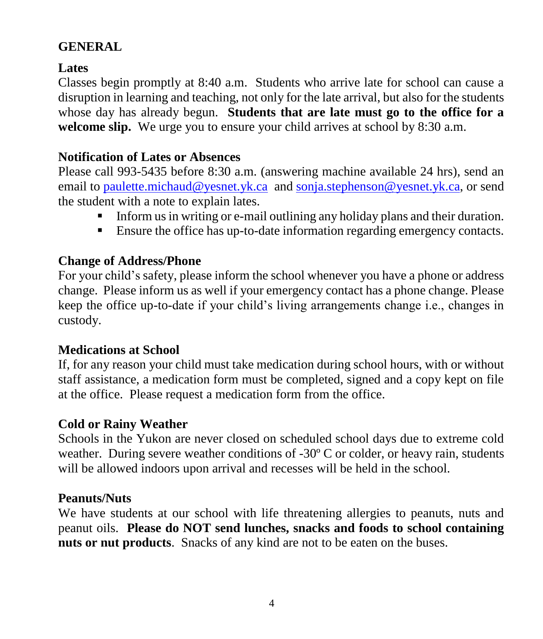## **GENERAL**

## **Lates**

Classes begin promptly at 8:40 a.m. Students who arrive late for school can cause a disruption in learning and teaching, not only for the late arrival, but also for the students whose day has already begun. **Students that are late must go to the office for a**  welcome slip. We urge you to ensure your child arrives at school by 8:30 a.m.

## **Notification of Lates or Absences**

Please call 993-5435 before 8:30 a.m. (answering machine available 24 hrs), send an email to [paulette.michaud@yesnet.yk.ca](mailto:paulette.michaud@yesnet.yk.ca) and [sonja.stephenson@yesnet.yk.ca,](mailto:sonja.stephenson@yesnet.yk.ca) or send the student with a note to explain lates.

- Inform us in writing or e-mail outlining any holiday plans and their duration.
- Ensure the office has up-to-date information regarding emergency contacts.

## **Change of Address/Phone**

For your child's safety, please inform the school whenever you have a phone or address change. Please inform us as well if your emergency contact has a phone change. Please keep the office up-to-date if your child's living arrangements change i.e., changes in custody.

## **Medications at School**

If, for any reason your child must take medication during school hours, with or without staff assistance, a medication form must be completed, signed and a copy kept on file at the office. Please request a medication form from the office.

#### **Cold or Rainy Weather**

Schools in the Yukon are never closed on scheduled school days due to extreme cold weather. During severe weather conditions of -30º C or colder, or heavy rain, students will be allowed indoors upon arrival and recesses will be held in the school.

#### **Peanuts/Nuts**

We have students at our school with life threatening allergies to peanuts, nuts and peanut oils. **Please do NOT send lunches, snacks and foods to school containing nuts or nut products**. Snacks of any kind are not to be eaten on the buses.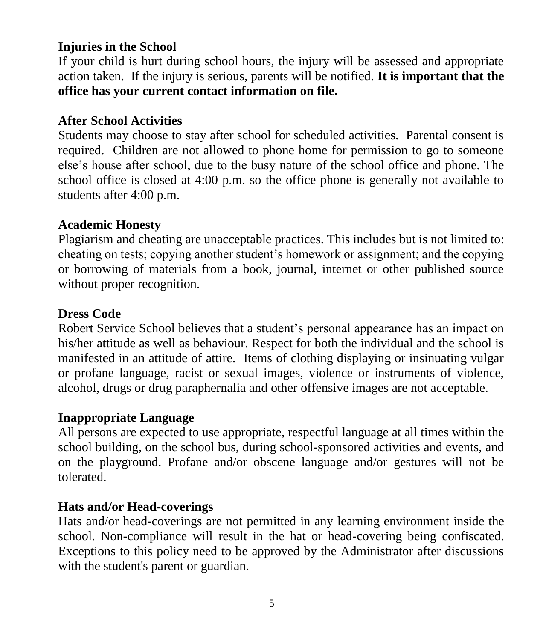#### **Injuries in the School**

If your child is hurt during school hours, the injury will be assessed and appropriate action taken. If the injury is serious, parents will be notified. **It is important that the office has your current contact information on file.**

#### **After School Activities**

Students may choose to stay after school for scheduled activities. Parental consent is required. Children are not allowed to phone home for permission to go to someone else's house after school, due to the busy nature of the school office and phone. The school office is closed at 4:00 p.m. so the office phone is generally not available to students after 4:00 p.m.

#### **Academic Honesty**

Plagiarism and cheating are unacceptable practices. This includes but is not limited to: cheating on tests; copying another student's homework or assignment; and the copying or borrowing of materials from a book, journal, internet or other published source without proper recognition.

#### **Dress Code**

Robert Service School believes that a student's personal appearance has an impact on his/her attitude as well as behaviour. Respect for both the individual and the school is manifested in an attitude of attire. Items of clothing displaying or insinuating vulgar or profane language, racist or sexual images, violence or instruments of violence, alcohol, drugs or drug paraphernalia and other offensive images are not acceptable.

#### **Inappropriate Language**

All persons are expected to use appropriate, respectful language at all times within the school building, on the school bus, during school-sponsored activities and events, and on the playground. Profane and/or obscene language and/or gestures will not be tolerated.

#### **Hats and/or Head-coverings**

Hats and/or head-coverings are not permitted in any learning environment inside the school. Non-compliance will result in the hat or head-covering being confiscated. Exceptions to this policy need to be approved by the Administrator after discussions with the student's parent or guardian.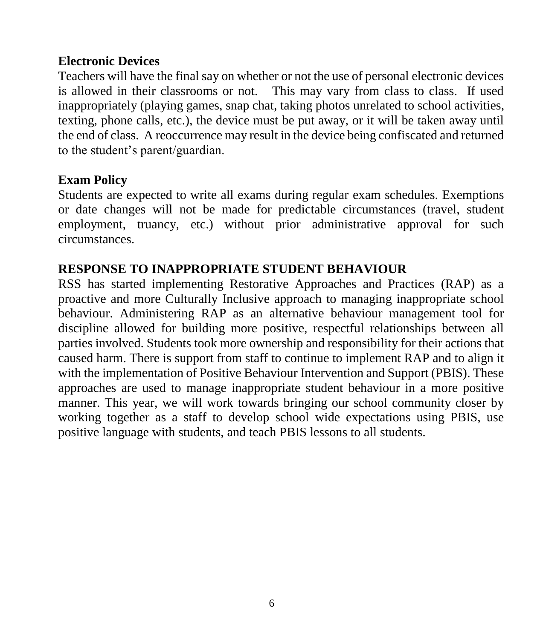#### **Electronic Devices**

Teachers will have the final say on whether or not the use of personal electronic devices is allowed in their classrooms or not. This may vary from class to class. If used inappropriately (playing games, snap chat, taking photos unrelated to school activities, texting, phone calls, etc.), the device must be put away, or it will be taken away until the end of class. A reoccurrence may result in the device being confiscated and returned to the student's parent/guardian.

#### **Exam Policy**

Students are expected to write all exams during regular exam schedules. Exemptions or date changes will not be made for predictable circumstances (travel, student employment, truancy, etc.) without prior administrative approval for such circumstances.

## **RESPONSE TO INAPPROPRIATE STUDENT BEHAVIOUR**

RSS has started implementing Restorative Approaches and Practices (RAP) as a proactive and more Culturally Inclusive approach to managing inappropriate school behaviour. Administering RAP as an alternative behaviour management tool for discipline allowed for building more positive, respectful relationships between all parties involved. Students took more ownership and responsibility for their actions that caused harm. There is support from staff to continue to implement RAP and to align it with the implementation of Positive Behaviour Intervention and Support (PBIS). These approaches are used to manage inappropriate student behaviour in a more positive manner. This year, we will work towards bringing our school community closer by working together as a staff to develop school wide expectations using PBIS, use positive language with students, and teach PBIS lessons to all students.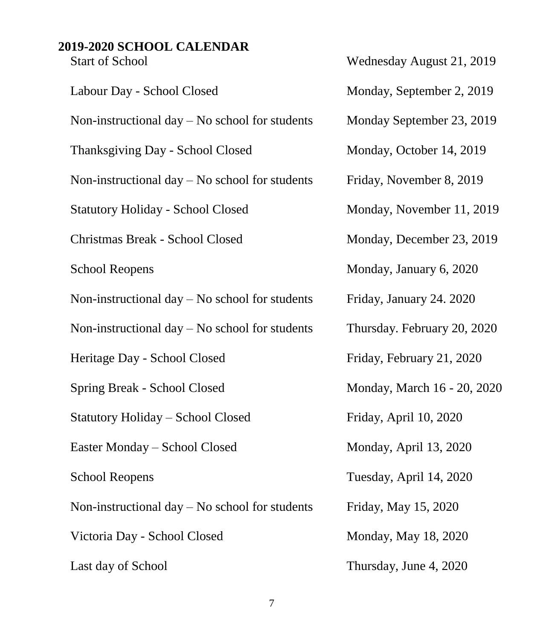# **2019-2020 SCHOOL CALENDAR**

| <b>Start of School</b>                           | Wednesday August 21, 2019   |
|--------------------------------------------------|-----------------------------|
| Labour Day - School Closed                       | Monday, September 2, 2019   |
| Non-instructional day $-$ No school for students | Monday September 23, 2019   |
| Thanksgiving Day - School Closed                 | Monday, October 14, 2019    |
| Non-instructional day $-$ No school for students | Friday, November 8, 2019    |
| <b>Statutory Holiday - School Closed</b>         | Monday, November 11, 2019   |
| Christmas Break - School Closed                  | Monday, December 23, 2019   |
| <b>School Reopens</b>                            | Monday, January 6, 2020     |
| Non-instructional day $-$ No school for students | Friday, January 24. 2020    |
| Non-instructional day $-$ No school for students | Thursday. February 20, 2020 |
| Heritage Day - School Closed                     | Friday, February 21, 2020   |
| Spring Break - School Closed                     | Monday, March 16 - 20, 2020 |
| <b>Statutory Holiday - School Closed</b>         | Friday, April 10, 2020      |
| Easter Monday - School Closed                    | Monday, April 13, 2020      |
| <b>School Reopens</b>                            | Tuesday, April 14, 2020     |
| Non-instructional day $-$ No school for students | Friday, May 15, 2020        |
| Victoria Day - School Closed                     | Monday, May 18, 2020        |
| Last day of School                               | Thursday, June 4, 2020      |